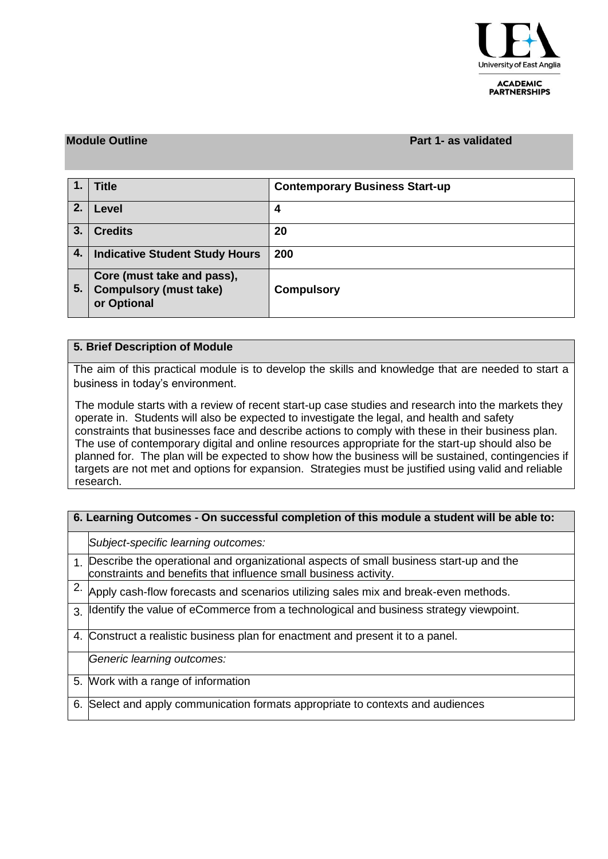

**ACADEMIC PARTNERSHIPS** 

#### **Module Outline Part 1- as validated**

|    | <b>Title</b>                                                               | <b>Contemporary Business Start-up</b> |
|----|----------------------------------------------------------------------------|---------------------------------------|
| 2. | Level                                                                      | 4                                     |
| 3. | <b>Credits</b>                                                             | 20                                    |
| 4. | <b>Indicative Student Study Hours</b>                                      | 200                                   |
| 5. | Core (must take and pass),<br><b>Compulsory (must take)</b><br>or Optional | <b>Compulsory</b>                     |

### **5. Brief Description of Module**

The aim of this practical module is to develop the skills and knowledge that are needed to start a business in today's environment.

The module starts with a review of recent start-up case studies and research into the markets they operate in. Students will also be expected to investigate the legal, and health and safety constraints that businesses face and describe actions to comply with these in their business plan. The use of contemporary digital and online resources appropriate for the start-up should also be planned for. The plan will be expected to show how the business will be sustained, contingencies if targets are not met and options for expansion. Strategies must be justified using valid and reliable research.

| 6. Learning Outcomes - On successful completion of this module a student will be able to: |                                                                                                                                                               |  |  |  |  |
|-------------------------------------------------------------------------------------------|---------------------------------------------------------------------------------------------------------------------------------------------------------------|--|--|--|--|
|                                                                                           | Subject-specific learning outcomes:                                                                                                                           |  |  |  |  |
|                                                                                           | 1. Describe the operational and organizational aspects of small business start-up and the<br>constraints and benefits that influence small business activity. |  |  |  |  |
| 2.                                                                                        | Apply cash-flow forecasts and scenarios utilizing sales mix and break-even methods.                                                                           |  |  |  |  |
|                                                                                           | 3. Identify the value of eCommerce from a technological and business strategy viewpoint.                                                                      |  |  |  |  |
|                                                                                           | 4. Construct a realistic business plan for enactment and present it to a panel.                                                                               |  |  |  |  |
|                                                                                           | Generic learning outcomes:                                                                                                                                    |  |  |  |  |
|                                                                                           | 5. Work with a range of information                                                                                                                           |  |  |  |  |
| 6.                                                                                        | Select and apply communication formats appropriate to contexts and audiences                                                                                  |  |  |  |  |